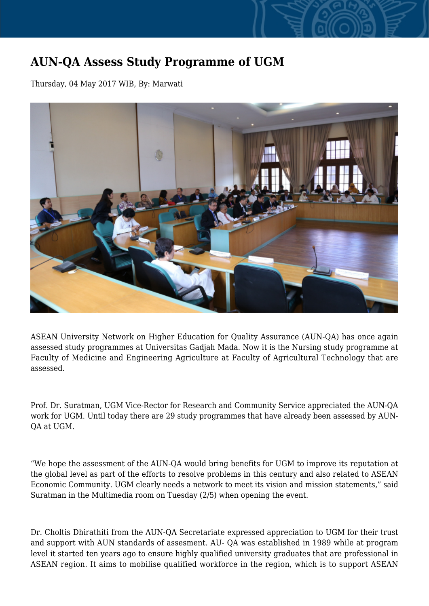## **AUN-QA Assess Study Programme of UGM**

Thursday, 04 May 2017 WIB, By: Marwati



ASEAN University Network on Higher Education for Quality Assurance (AUN-QA) has once again assessed study programmes at Universitas Gadjah Mada. Now it is the Nursing study programme at Faculty of Medicine and Engineering Agriculture at Faculty of Agricultural Technology that are assessed.

Prof. Dr. Suratman, UGM Vice-Rector for Research and Community Service appreciated the AUN-QA work for UGM. Until today there are 29 study programmes that have already been assessed by AUN-QA at UGM.

"We hope the assessment of the AUN-QA would bring benefits for UGM to improve its reputation at the global level as part of the efforts to resolve problems in this century and also related to ASEAN Economic Community. UGM clearly needs a network to meet its vision and mission statements," said Suratman in the Multimedia room on Tuesday (2/5) when opening the event.

Dr. Choltis Dhirathiti from the AUN-QA Secretariate expressed appreciation to UGM for their trust and support with AUN standards of assesment. AU- QA was established in 1989 while at program level it started ten years ago to ensure highly qualified university graduates that are professional in ASEAN region. It aims to mobilise qualified workforce in the region, which is to support ASEAN